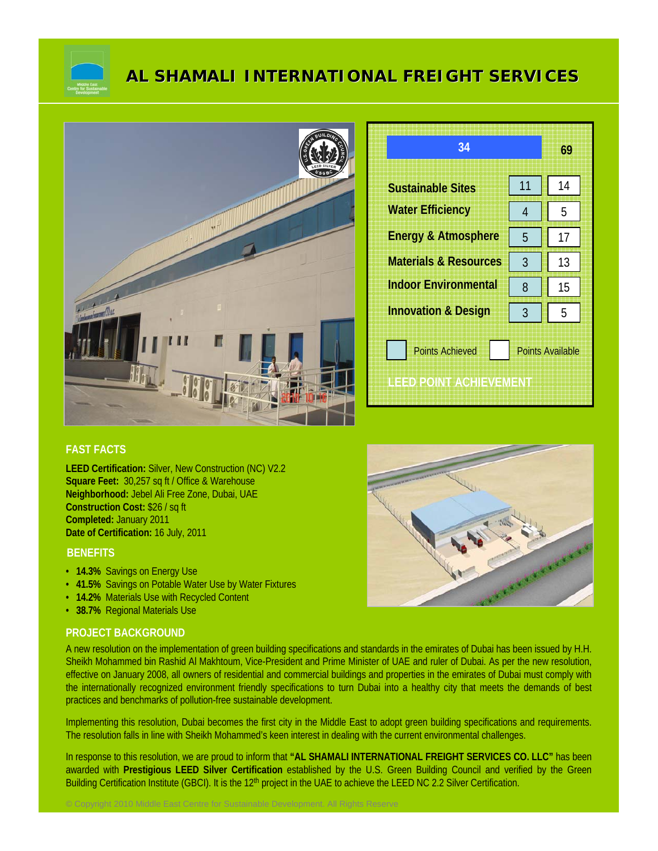

# **AL SHAMALI INTERNATIONAL FREIGHT SERVICES**



| 34                               |                         | 69 |
|----------------------------------|-------------------------|----|
| <b>Sustainable Sites</b>         | 11                      | 14 |
| <b>Water Efficiency</b>          | 4                       | 5  |
| <b>Energy &amp; Atmosphere</b>   | 5                       | 17 |
| <b>Materials &amp; Resources</b> | 3                       | 13 |
| <b>Indoor Environmental</b>      | 8                       | 15 |
| <b>Innovation &amp; Design</b>   | 3                       | 5  |
| <b>Points Achieved</b>           | <b>Points Available</b> |    |
| IHED POINT AGHIEVEMENT           |                         |    |

## **FAST FACTS**

**LEED Certification:** Silver, New Construction (NC) V2.2 **Square Feet:** 30,257 sq ft / Office & Warehouse **Neighborhood:** Jebel Ali Free Zone, Dubai, UAE **Construction Cost:** \$26 / sq ft **Completed:** January 2011 **Date of Certification:** 16 July, 2011

### **BENEFITS**

- **14.3%** Savings on Energy Use
- **41.5%** Savings on Potable Water Use by Water Fixtures

© Copyright 2010 Middle East Centre for Sustainable Development. All Rights Reserve

- **14.2%** Materials Use with Recycled Content
- **38.7%** Regional Materials Use

#### **PROJECT BACKGROUND**

A new resolution on the implementation of green building specifications and standards in the emirates of Dubai has been issued by H.H. Sheikh Mohammed bin Rashid Al Makhtoum, Vice-President and Prime Minister of UAE and ruler of Dubai. As per the new resolution, effective on January 2008, all owners of residential and commercial buildings and properties in the emirates of Dubai must comply with the internationally recognized environment friendly specifications to turn Dubai into a healthy city that meets the demands of best practices and benchmarks of pollution-free sustainable development.

Implementing this resolution, Dubai becomes the first city in the Middle East to adopt green building specifications and requirements. The resolution falls in line with Sheikh Mohammed's keen interest in dealing with the current environmental challenges.

In response to this resolution, we are proud to inform that **"AL SHAMALI INTERNATIONAL FREIGHT SERVICES CO. LLC"** has been awarded with **Prestigious LEED Silver Certification** established by the U.S. Green Building Council and verified by the Green Building Certification Institute (GBCI). It is the 12<sup>th</sup> project in the UAE to achieve the LEED NC 2.2 Silver Certification.